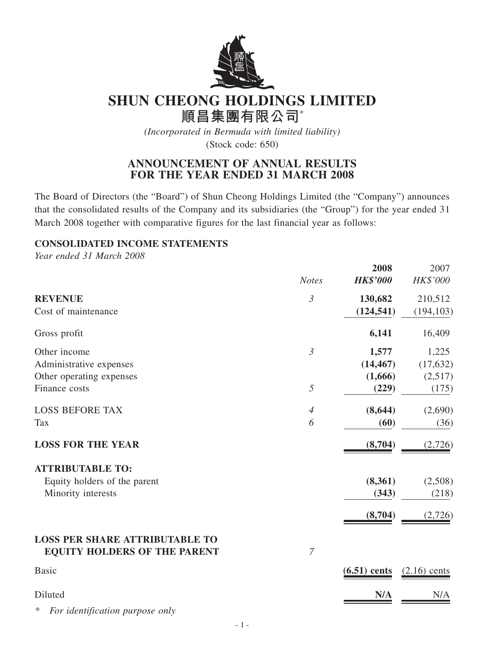

# **SHUN CHEONG HOLDINGS LIMITED**

**順昌集團有限公司**\*

*(Incorporated in Bermuda with limited liability)*

(Stock code: 650)

## **ANNOUNCEMENT OF ANNUAL RESULTS FOR THE YEAR ENDED 31 MARCH 2008**

The Board of Directors (the "Board") of Shun Cheong Holdings Limited (the "Company") announces that the consolidated results of the Company and its subsidiaries (the "Group") for the year ended 31 March 2008 together with comparative figures for the last financial year as follows:

**2008** 2007

## **CONSOLIDATED INCOME STATEMENTS**

*Year ended 31 March 2008*

|                                                                              | <b>Notes</b>   | ZUVO<br><b>HK\$'000</b> | 2007 L<br>HK\$'000 |
|------------------------------------------------------------------------------|----------------|-------------------------|--------------------|
| <b>REVENUE</b>                                                               | $\mathfrak{Z}$ | 130,682                 | 210,512            |
| Cost of maintenance                                                          |                | (124, 541)              | (194, 103)         |
| Gross profit                                                                 |                | 6,141                   | 16,409             |
| Other income                                                                 | $\mathfrak{Z}$ | 1,577                   | 1,225              |
| Administrative expenses                                                      |                | (14, 467)               | (17, 632)          |
| Other operating expenses                                                     |                | (1,666)                 | (2,517)            |
| Finance costs                                                                | 5              | (229)                   | (175)              |
| <b>LOSS BEFORE TAX</b>                                                       | $\overline{4}$ | (8, 644)                | (2,690)            |
| <b>Tax</b>                                                                   | 6              | (60)                    | (36)               |
| <b>LOSS FOR THE YEAR</b>                                                     |                | (8,704)                 | (2,726)            |
| <b>ATTRIBUTABLE TO:</b>                                                      |                |                         |                    |
| Equity holders of the parent                                                 |                | (8,361)                 | (2,508)            |
| Minority interests                                                           |                | (343)                   | (218)              |
|                                                                              |                | (8,704)                 | (2, 726)           |
| <b>LOSS PER SHARE ATTRIBUTABLE TO</b><br><b>EQUITY HOLDERS OF THE PARENT</b> | $\overline{7}$ |                         |                    |
| <b>Basic</b>                                                                 |                | $(6.51)$ cents          | $(2.16)$ cents     |
| Diluted                                                                      |                | N/A                     | N/A                |

*\* For identification purpose only*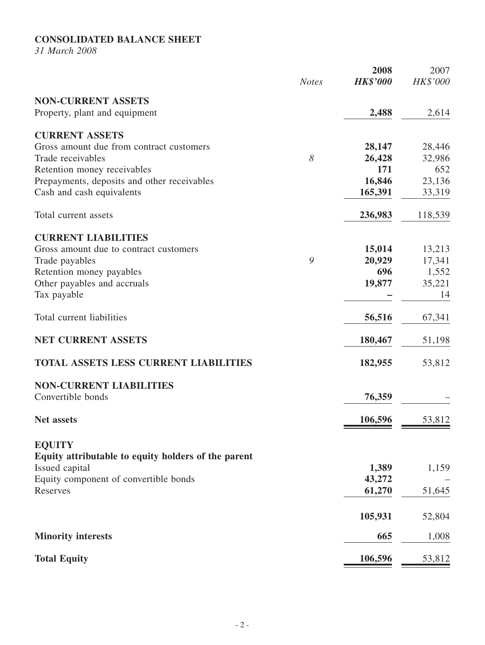## **CONSOLIDATED BALANCE SHEET**

*31 March 2008*

|                                                         | <b>Notes</b> | 2008<br><b>HK\$'000</b> | 2007<br>HK\$'000 |
|---------------------------------------------------------|--------------|-------------------------|------------------|
| <b>NON-CURRENT ASSETS</b>                               |              |                         |                  |
| Property, plant and equipment                           |              | 2,488                   | 2,614            |
| <b>CURRENT ASSETS</b>                                   |              |                         |                  |
| Gross amount due from contract customers                |              | 28,147                  | 28,446           |
| Trade receivables                                       | 8            | 26,428                  | 32,986           |
| Retention money receivables                             |              | 171                     | 652              |
| Prepayments, deposits and other receivables             |              | 16,846                  | 23,136           |
| Cash and cash equivalents                               |              | 165,391                 | 33,319           |
| Total current assets                                    |              | 236,983                 | 118,539          |
| <b>CURRENT LIABILITIES</b>                              |              |                         |                  |
| Gross amount due to contract customers                  |              | 15,014                  | 13,213           |
| Trade payables                                          | 9            | 20,929                  | 17,341           |
| Retention money payables                                |              | 696                     | 1,552            |
| Other payables and accruals                             |              | 19,877                  | 35,221           |
| Tax payable                                             |              |                         | 14               |
| Total current liabilities                               |              | 56,516                  | 67,341           |
| <b>NET CURRENT ASSETS</b>                               |              | 180,467                 | 51,198           |
| <b>TOTAL ASSETS LESS CURRENT LIABILITIES</b>            |              | 182,955                 | 53,812           |
| <b>NON-CURRENT LIABILITIES</b>                          |              |                         |                  |
| Convertible bonds                                       |              | 76,359                  |                  |
| Net assets                                              |              | 106,596                 | 53,812           |
|                                                         |              |                         |                  |
| <b>EQUITY</b>                                           |              |                         |                  |
| Equity attributable to equity holders of the parent     |              |                         |                  |
| Issued capital<br>Equity component of convertible bonds |              | 1,389<br>43,272         | 1,159            |
| Reserves                                                |              | 61,270                  | 51,645           |
|                                                         |              |                         |                  |
|                                                         |              | 105,931                 | 52,804           |
| <b>Minority interests</b>                               |              | 665                     | 1,008            |
| <b>Total Equity</b>                                     |              | <u>106,596</u>          | 53,812           |
|                                                         |              |                         |                  |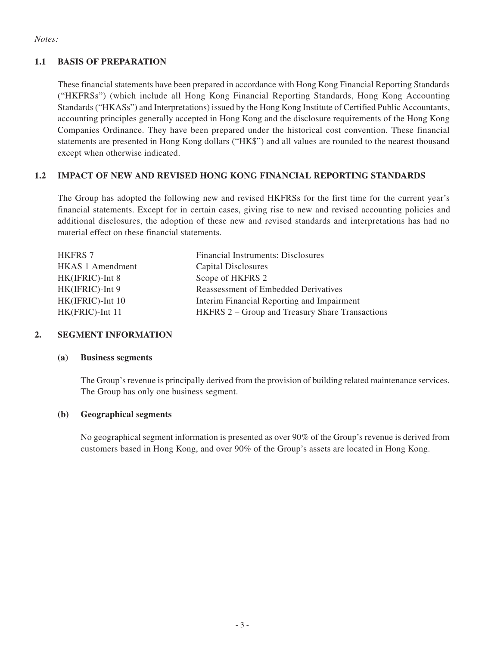#### *Notes:*

## **1.1 BASIS OF PREPARATION**

These financial statements have been prepared in accordance with Hong Kong Financial Reporting Standards ("HKFRSs") (which include all Hong Kong Financial Reporting Standards, Hong Kong Accounting Standards ("HKASs") and Interpretations) issued by the Hong Kong Institute of Certified Public Accountants, accounting principles generally accepted in Hong Kong and the disclosure requirements of the Hong Kong Companies Ordinance. They have been prepared under the historical cost convention. These financial statements are presented in Hong Kong dollars ("HK\$") and all values are rounded to the nearest thousand except when otherwise indicated.

## **1.2 IMPACT OF NEW AND REVISED HONG KONG FINANCIAL REPORTING STANDARDS**

The Group has adopted the following new and revised HKFRSs for the first time for the current year's financial statements. Except for in certain cases, giving rise to new and revised accounting policies and additional disclosures, the adoption of these new and revised standards and interpretations has had no material effect on these financial statements.

| <b>HKFRS 7</b>          | <b>Financial Instruments: Disclosures</b>              |
|-------------------------|--------------------------------------------------------|
| <b>HKAS 1 Amendment</b> | Capital Disclosures                                    |
| HK(IFRIC)-Int 8         | Scope of HKFRS 2                                       |
| HK(IFRIC)-Int 9         | Reassessment of Embedded Derivatives                   |
| HK(IFRIC)-Int 10        | Interim Financial Reporting and Impairment             |
| HK(FRIC)-Int 11         | <b>HKFRS 2 – Group and Treasury Share Transactions</b> |

#### **2. SEGMENT INFORMATION**

#### **(a) Business segments**

The Group's revenue is principally derived from the provision of building related maintenance services. The Group has only one business segment.

#### **(b) Geographical segments**

No geographical segment information is presented as over 90% of the Group's revenue is derived from customers based in Hong Kong, and over 90% of the Group's assets are located in Hong Kong.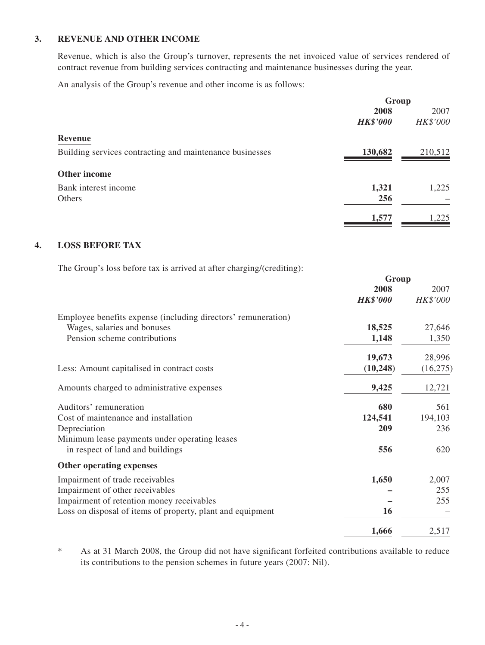#### **3. REVENUE AND OTHER INCOME**

Revenue, which is also the Group's turnover, represents the net invoiced value of services rendered of contract revenue from building services contracting and maintenance businesses during the year.

An analysis of the Group's revenue and other income is as follows:

|                                                          | Group           |          |
|----------------------------------------------------------|-----------------|----------|
|                                                          | 2008            | 2007     |
|                                                          | <b>HK\$'000</b> | HK\$'000 |
| <b>Revenue</b>                                           |                 |          |
| Building services contracting and maintenance businesses | 130,682         | 210,512  |
| Other income                                             |                 |          |
| Bank interest income                                     | 1,321           | 1,225    |
| Others                                                   | 256             |          |
|                                                          | 1,577           | 1,225    |
|                                                          |                 |          |

**Group**

#### **4. LOSS BEFORE TAX**

The Group's loss before tax is arrived at after charging/(crediting):

|                                                               | $U$ - $U$       |           |
|---------------------------------------------------------------|-----------------|-----------|
|                                                               | 2008            | 2007      |
|                                                               | <b>HK\$'000</b> | HK\$'000  |
| Employee benefits expense (including directors' remuneration) |                 |           |
| Wages, salaries and bonuses                                   | 18,525          | 27,646    |
| Pension scheme contributions                                  | 1,148           | 1,350     |
|                                                               | 19,673          | 28,996    |
| Less: Amount capitalised in contract costs                    | (10, 248)       | (16, 275) |
| Amounts charged to administrative expenses                    | 9,425           | 12,721    |
| Auditors' remuneration                                        | 680             | 561       |
| Cost of maintenance and installation                          | 124,541         | 194,103   |
| Depreciation                                                  | 209             | 236       |
| Minimum lease payments under operating leases                 |                 |           |
| in respect of land and buildings                              | 556             | 620       |
| Other operating expenses                                      |                 |           |
| Impairment of trade receivables                               | 1,650           | 2,007     |
| Impairment of other receivables                               |                 | 255       |
| Impairment of retention money receivables                     |                 | 255       |
| Loss on disposal of items of property, plant and equipment    | 16              |           |
|                                                               | 1,666           | 2,517     |
|                                                               |                 |           |

\* As at 31 March 2008, the Group did not have significant forfeited contributions available to reduce its contributions to the pension schemes in future years (2007: Nil).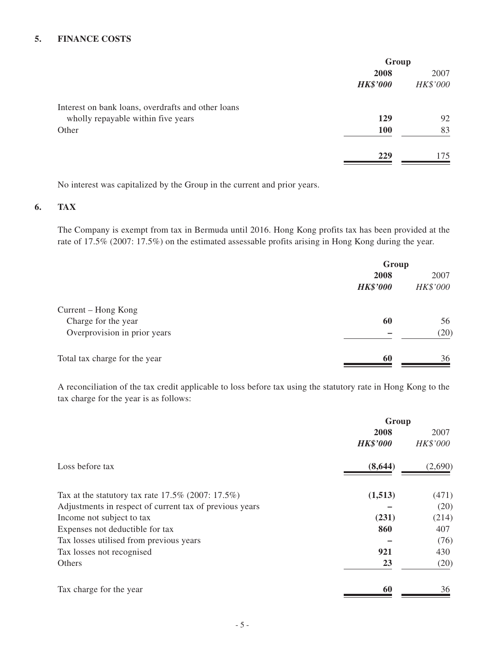#### **5. FINANCE COSTS**

|                                                    | Group           |          |
|----------------------------------------------------|-----------------|----------|
|                                                    | 2008            | 2007     |
|                                                    | <b>HK\$'000</b> | HK\$'000 |
| Interest on bank loans, overdrafts and other loans |                 |          |
| wholly repayable within five years                 | 129             | 92       |
| Other                                              | <b>100</b>      | 83       |
|                                                    | 229             | 175      |

No interest was capitalized by the Group in the current and prior years.

## **6. TAX**

The Company is exempt from tax in Bermuda until 2016. Hong Kong profits tax has been provided at the rate of 17.5% (2007: 17.5%) on the estimated assessable profits arising in Hong Kong during the year.

|                               |                 | Group    |  |
|-------------------------------|-----------------|----------|--|
|                               | 2008            | 2007     |  |
|                               | <b>HK\$'000</b> | HK\$'000 |  |
| Current – Hong Kong           |                 |          |  |
| Charge for the year           | 60              | 56       |  |
| Overprovision in prior years  |                 | (20)     |  |
| Total tax charge for the year | 60              | 36       |  |

A reconciliation of the tax credit applicable to loss before tax using the statutory rate in Hong Kong to the tax charge for the year is as follows:

|                                                         | Group           |          |
|---------------------------------------------------------|-----------------|----------|
|                                                         | 2008            | 2007     |
|                                                         | <b>HK\$'000</b> | HK\$'000 |
| Loss before tax                                         | (8, 644)        | (2,690)  |
| Tax at the statutory tax rate $17.5\%$ (2007: 17.5%)    | (1,513)         | (471)    |
| Adjustments in respect of current tax of previous years |                 | (20)     |
| Income not subject to tax                               | (231)           | (214)    |
| Expenses not deductible for tax                         | 860             | 407      |
| Tax losses utilised from previous years                 |                 | (76)     |
| Tax losses not recognised                               | 921             | 430      |
| Others                                                  | 23              | (20)     |
| Tax charge for the year                                 | 60              | 36       |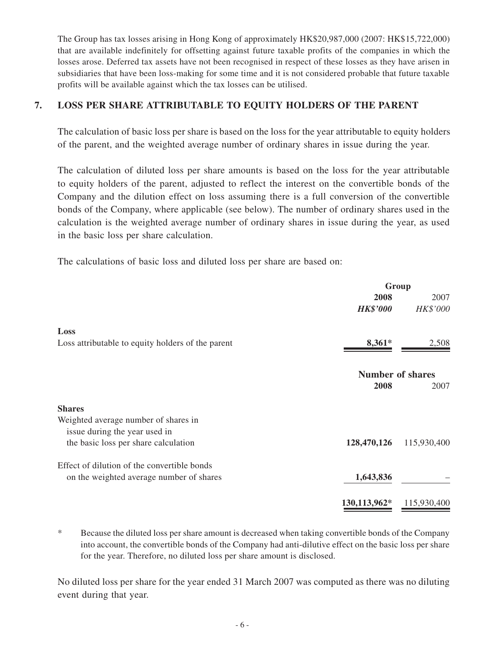The Group has tax losses arising in Hong Kong of approximately HK\$20,987,000 (2007: HK\$15,722,000) that are available indefinitely for offsetting against future taxable profits of the companies in which the losses arose. Deferred tax assets have not been recognised in respect of these losses as they have arisen in subsidiaries that have been loss-making for some time and it is not considered probable that future taxable profits will be available against which the tax losses can be utilised.

## **7. LOSS PER SHARE ATTRIBUTABLE TO EQUITY HOLDERS OF THE PARENT**

The calculation of basic loss per share is based on the loss for the year attributable to equity holders of the parent, and the weighted average number of ordinary shares in issue during the year.

The calculation of diluted loss per share amounts is based on the loss for the year attributable to equity holders of the parent, adjusted to reflect the interest on the convertible bonds of the Company and the dilution effect on loss assuming there is a full conversion of the convertible bonds of the Company, where applicable (see below). The number of ordinary shares used in the calculation is the weighted average number of ordinary shares in issue during the year, as used in the basic loss per share calculation.

The calculations of basic loss and diluted loss per share are based on:

|                                                   |                         | Group       |
|---------------------------------------------------|-------------------------|-------------|
|                                                   | 2008                    | 2007        |
|                                                   | <b>HK\$'000</b>         | HK\$'000    |
| Loss                                              |                         |             |
| Loss attributable to equity holders of the parent | $8,361*$                | 2,508       |
|                                                   | <b>Number of shares</b> |             |
|                                                   | 2008                    | 2007        |
| <b>Shares</b>                                     |                         |             |
| Weighted average number of shares in              |                         |             |
| issue during the year used in                     |                         |             |
| the basic loss per share calculation              | 128,470,126             | 115,930,400 |
| Effect of dilution of the convertible bonds       |                         |             |
| on the weighted average number of shares          | 1,643,836               |             |
|                                                   | 130,113,962*            | 115,930,400 |

\* Because the diluted loss per share amount is decreased when taking convertible bonds of the Company into account, the convertible bonds of the Company had anti-dilutive effect on the basic loss per share for the year. Therefore, no diluted loss per share amount is disclosed.

No diluted loss per share for the year ended 31 March 2007 was computed as there was no diluting event during that year.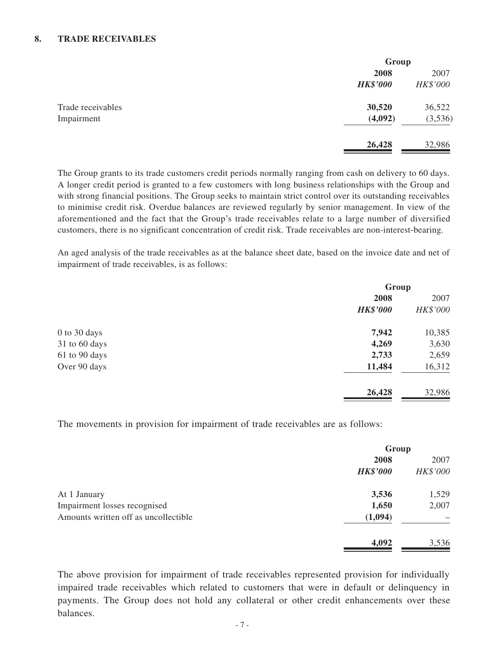#### **8. TRADE RECEIVABLES**

|                   |                 | Group    |  |
|-------------------|-----------------|----------|--|
|                   | 2008            | 2007     |  |
|                   | <b>HK\$'000</b> | HK\$'000 |  |
| Trade receivables | 30,520          | 36,522   |  |
| Impairment        | (4,092)         | (3,536)  |  |
|                   | 26,428          | 32,986   |  |

The Group grants to its trade customers credit periods normally ranging from cash on delivery to 60 days. A longer credit period is granted to a few customers with long business relationships with the Group and with strong financial positions. The Group seeks to maintain strict control over its outstanding receivables to minimise credit risk. Overdue balances are reviewed regularly by senior management. In view of the aforementioned and the fact that the Group's trade receivables relate to a large number of diversified customers, there is no significant concentration of credit risk. Trade receivables are non-interest-bearing.

An aged analysis of the trade receivables as at the balance sheet date, based on the invoice date and net of impairment of trade receivables, is as follows:

|               | Group           |          |
|---------------|-----------------|----------|
|               | 2008            | 2007     |
|               | <b>HK\$'000</b> | HK\$'000 |
| 0 to 30 days  | 7,942           | 10,385   |
| 31 to 60 days | 4,269           | 3,630    |
| 61 to 90 days | 2,733           | 2,659    |
| Over 90 days  | 11,484          | 16,312   |
|               | 26,428          | 32,986   |

The movements in provision for impairment of trade receivables are as follows:

|                                      | Group           |          |
|--------------------------------------|-----------------|----------|
|                                      | 2008            | 2007     |
|                                      | <b>HK\$'000</b> | HK\$'000 |
| At 1 January                         | 3,536           | 1,529    |
| Impairment losses recognised         | 1,650           | 2,007    |
| Amounts written off as uncollectible | (1,094)         |          |
|                                      | 4,092           | 3,536    |

The above provision for impairment of trade receivables represented provision for individually impaired trade receivables which related to customers that were in default or delinquency in payments. The Group does not hold any collateral or other credit enhancements over these balances.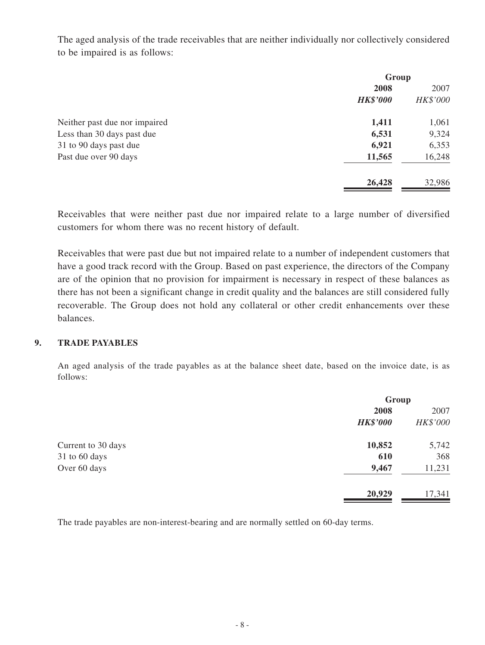The aged analysis of the trade receivables that are neither individually nor collectively considered to be impaired is as follows:

|                               | Group           |          |
|-------------------------------|-----------------|----------|
|                               | 2008            | 2007     |
|                               | <b>HK\$'000</b> | HK\$'000 |
| Neither past due nor impaired | 1,411           | 1,061    |
| Less than 30 days past due    | 6,531           | 9,324    |
| 31 to 90 days past due        | 6,921           | 6,353    |
| Past due over 90 days         | 11,565          | 16,248   |
|                               | 26,428          | 32,986   |

Receivables that were neither past due nor impaired relate to a large number of diversified customers for whom there was no recent history of default.

Receivables that were past due but not impaired relate to a number of independent customers that have a good track record with the Group. Based on past experience, the directors of the Company are of the opinion that no provision for impairment is necessary in respect of these balances as there has not been a significant change in credit quality and the balances are still considered fully recoverable. The Group does not hold any collateral or other credit enhancements over these balances.

#### **9. TRADE PAYABLES**

An aged analysis of the trade payables as at the balance sheet date, based on the invoice date, is as follows:

|                    |                 | Group    |  |
|--------------------|-----------------|----------|--|
|                    | 2008            | 2007     |  |
|                    | <b>HK\$'000</b> | HK\$'000 |  |
| Current to 30 days | 10,852          | 5,742    |  |
| 31 to 60 days      | 610             | 368      |  |
| Over 60 days       | 9,467           | 11,231   |  |
|                    | 20,929          | 17,341   |  |

The trade payables are non-interest-bearing and are normally settled on 60-day terms.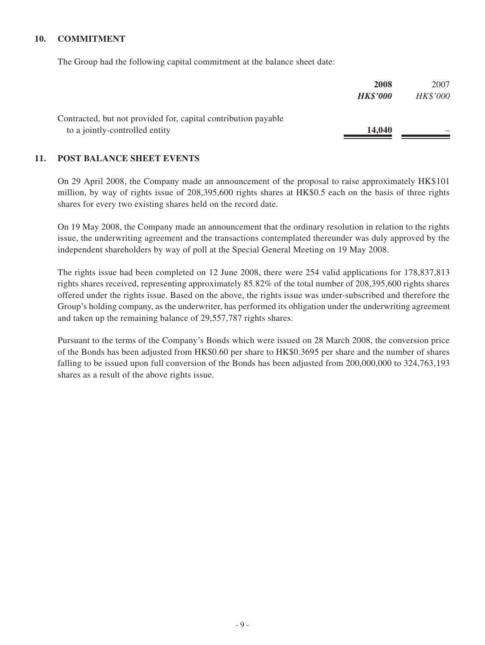#### **10. COMMITMENT**

The Group had the following capital commitment at the balance sheet date:

|                                                                | 2008            | 2007     |
|----------------------------------------------------------------|-----------------|----------|
|                                                                | <b>HK\$'000</b> | HK\$'000 |
| Contracted, but not provided for, capital contribution payable |                 |          |
| to a jointly-controlled entity                                 | 14,040          |          |

#### **11. POST BALANCE SHEET EVENTS**

On 29 April 2008, the Company made an announcement of the proposal to raise approximately HK\$101 million, by way of rights issue of 208,395,600 rights shares at HK\$0.5 each on the basis of three rights shares for every two existing shares held on the record date.

On 19 May 2008, the Company made an announcement that the ordinary resolution in relation to the rights issue, the underwriting agreement and the transactions contemplated thereunder was duly approved by the independent shareholders by way of poll at the Special General Meeting on 19 May 2008.

The rights issue had been completed on 12 June 2008, there were 254 valid applications for 178,837,813 rights shares received, representing approximately 85.82% of the total number of 208,395,600 rights shares offered under the rights issue. Based on the above, the rights issue was under-subscribed and therefore the Group's holding company, as the underwriter, has performed its obligation under the underwriting agreement and taken up the remaining balance of 29,557,787 rights shares.

Pursuant to the terms of the Company's Bonds which were issued on 28 March 2008, the conversion price of the Bonds has been adjusted from HK\$0.60 per share to HK\$0.3695 per share and the number of shares falling to be issued upon full conversion of the Bonds has been adjusted from 200,000,000 to 324,763,193 shares as a result of the above rights issue.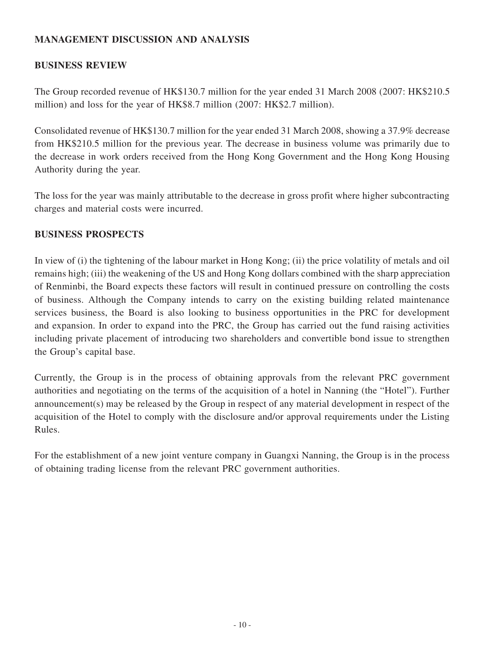## **MANAGEMENT DISCUSSION AND ANALYSIS**

## **BUSINESS REVIEW**

The Group recorded revenue of HK\$130.7 million for the year ended 31 March 2008 (2007: HK\$210.5 million) and loss for the year of HK\$8.7 million (2007: HK\$2.7 million).

Consolidated revenue of HK\$130.7 million for the year ended 31 March 2008, showing a 37.9% decrease from HK\$210.5 million for the previous year. The decrease in business volume was primarily due to the decrease in work orders received from the Hong Kong Government and the Hong Kong Housing Authority during the year.

The loss for the year was mainly attributable to the decrease in gross profit where higher subcontracting charges and material costs were incurred.

## **BUSINESS PROSPECTS**

In view of (i) the tightening of the labour market in Hong Kong; (ii) the price volatility of metals and oil remains high; (iii) the weakening of the US and Hong Kong dollars combined with the sharp appreciation of Renminbi, the Board expects these factors will result in continued pressure on controlling the costs of business. Although the Company intends to carry on the existing building related maintenance services business, the Board is also looking to business opportunities in the PRC for development and expansion. In order to expand into the PRC, the Group has carried out the fund raising activities including private placement of introducing two shareholders and convertible bond issue to strengthen the Group's capital base.

Currently, the Group is in the process of obtaining approvals from the relevant PRC government authorities and negotiating on the terms of the acquisition of a hotel in Nanning (the "Hotel"). Further announcement(s) may be released by the Group in respect of any material development in respect of the acquisition of the Hotel to comply with the disclosure and/or approval requirements under the Listing Rules.

For the establishment of a new joint venture company in Guangxi Nanning, the Group is in the process of obtaining trading license from the relevant PRC government authorities.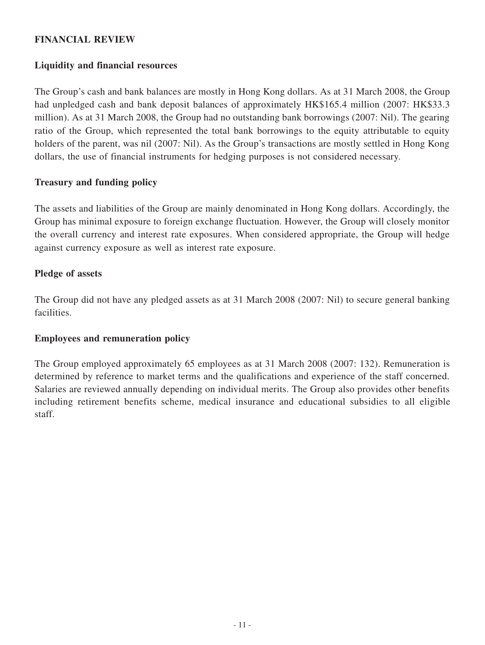## **FINANCIAL REVIEW**

## **Liquidity and financial resources**

The Group's cash and bank balances are mostly in Hong Kong dollars. As at 31 March 2008, the Group had unpledged cash and bank deposit balances of approximately HK\$165.4 million (2007: HK\$33.3) million). As at 31 March 2008, the Group had no outstanding bank borrowings (2007: Nil). The gearing ratio of the Group, which represented the total bank borrowings to the equity attributable to equity holders of the parent, was nil (2007: Nil). As the Group's transactions are mostly settled in Hong Kong dollars, the use of financial instruments for hedging purposes is not considered necessary.

## **Treasury and funding policy**

The assets and liabilities of the Group are mainly denominated in Hong Kong dollars. Accordingly, the Group has minimal exposure to foreign exchange fluctuation. However, the Group will closely monitor the overall currency and interest rate exposures. When considered appropriate, the Group will hedge against currency exposure as well as interest rate exposure.

## **Pledge of assets**

The Group did not have any pledged assets as at 31 March 2008 (2007: Nil) to secure general banking facilities.

### **Employees and remuneration policy**

The Group employed approximately 65 employees as at 31 March 2008 (2007: 132). Remuneration is determined by reference to market terms and the qualifications and experience of the staff concerned. Salaries are reviewed annually depending on individual merits. The Group also provides other benefits including retirement benefits scheme, medical insurance and educational subsidies to all eligible staff.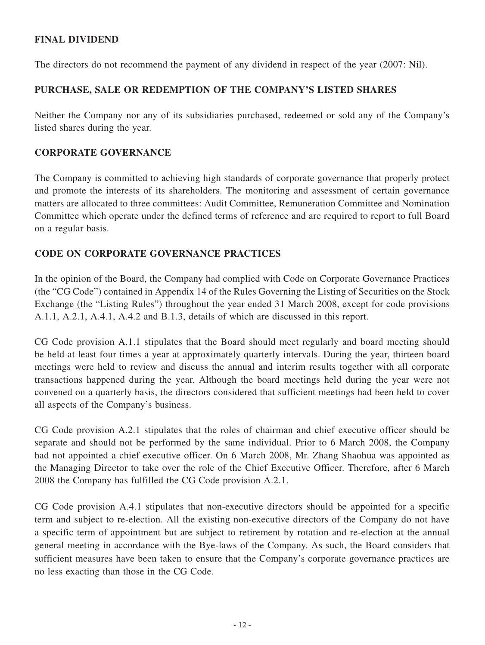## **FINAL DIVIDEND**

The directors do not recommend the payment of any dividend in respect of the year (2007: Nil).

## **PURCHASE, SALE OR REDEMPTION OF THE COMPANY'S LISTED SHARES**

Neither the Company nor any of its subsidiaries purchased, redeemed or sold any of the Company's listed shares during the year.

## **CORPORATE GOVERNANCE**

The Company is committed to achieving high standards of corporate governance that properly protect and promote the interests of its shareholders. The monitoring and assessment of certain governance matters are allocated to three committees: Audit Committee, Remuneration Committee and Nomination Committee which operate under the defined terms of reference and are required to report to full Board on a regular basis.

## **CODE ON CORPORATE GOVERNANCE PRACTICES**

In the opinion of the Board, the Company had complied with Code on Corporate Governance Practices (the "CG Code") contained in Appendix 14 of the Rules Governing the Listing of Securities on the Stock Exchange (the "Listing Rules") throughout the year ended 31 March 2008, except for code provisions A.1.1, A.2.1, A.4.1, A.4.2 and B.1.3, details of which are discussed in this report.

CG Code provision A.1.1 stipulates that the Board should meet regularly and board meeting should be held at least four times a year at approximately quarterly intervals. During the year, thirteen board meetings were held to review and discuss the annual and interim results together with all corporate transactions happened during the year. Although the board meetings held during the year were not convened on a quarterly basis, the directors considered that sufficient meetings had been held to cover all aspects of the Company's business.

CG Code provision A.2.1 stipulates that the roles of chairman and chief executive officer should be separate and should not be performed by the same individual. Prior to 6 March 2008, the Company had not appointed a chief executive officer. On 6 March 2008, Mr. Zhang Shaohua was appointed as the Managing Director to take over the role of the Chief Executive Officer. Therefore, after 6 March 2008 the Company has fulfilled the CG Code provision A.2.1.

CG Code provision A.4.1 stipulates that non-executive directors should be appointed for a specific term and subject to re-election. All the existing non-executive directors of the Company do not have a specific term of appointment but are subject to retirement by rotation and re-election at the annual general meeting in accordance with the Bye-laws of the Company. As such, the Board considers that sufficient measures have been taken to ensure that the Company's corporate governance practices are no less exacting than those in the CG Code.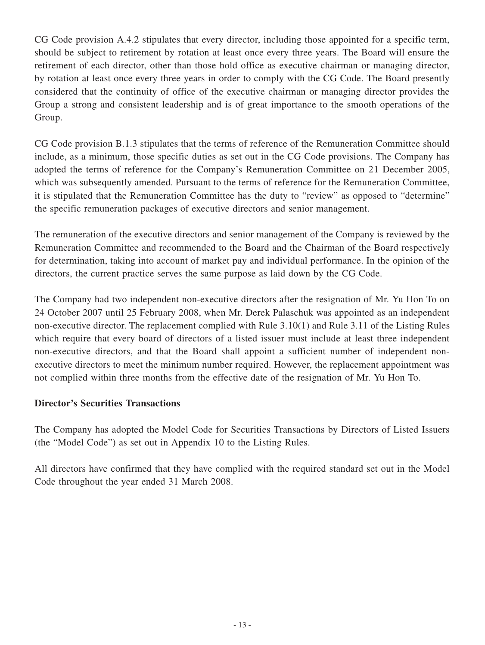CG Code provision A.4.2 stipulates that every director, including those appointed for a specific term, should be subject to retirement by rotation at least once every three years. The Board will ensure the retirement of each director, other than those hold office as executive chairman or managing director, by rotation at least once every three years in order to comply with the CG Code. The Board presently considered that the continuity of office of the executive chairman or managing director provides the Group a strong and consistent leadership and is of great importance to the smooth operations of the Group.

CG Code provision B.1.3 stipulates that the terms of reference of the Remuneration Committee should include, as a minimum, those specific duties as set out in the CG Code provisions. The Company has adopted the terms of reference for the Company's Remuneration Committee on 21 December 2005, which was subsequently amended. Pursuant to the terms of reference for the Remuneration Committee, it is stipulated that the Remuneration Committee has the duty to "review" as opposed to "determine" the specific remuneration packages of executive directors and senior management.

The remuneration of the executive directors and senior management of the Company is reviewed by the Remuneration Committee and recommended to the Board and the Chairman of the Board respectively for determination, taking into account of market pay and individual performance. In the opinion of the directors, the current practice serves the same purpose as laid down by the CG Code.

The Company had two independent non-executive directors after the resignation of Mr. Yu Hon To on 24 October 2007 until 25 February 2008, when Mr. Derek Palaschuk was appointed as an independent non-executive director. The replacement complied with Rule 3.10(1) and Rule 3.11 of the Listing Rules which require that every board of directors of a listed issuer must include at least three independent non-executive directors, and that the Board shall appoint a sufficient number of independent nonexecutive directors to meet the minimum number required. However, the replacement appointment was not complied within three months from the effective date of the resignation of Mr. Yu Hon To.

## **Director's Securities Transactions**

The Company has adopted the Model Code for Securities Transactions by Directors of Listed Issuers (the "Model Code") as set out in Appendix 10 to the Listing Rules.

All directors have confirmed that they have complied with the required standard set out in the Model Code throughout the year ended 31 March 2008.